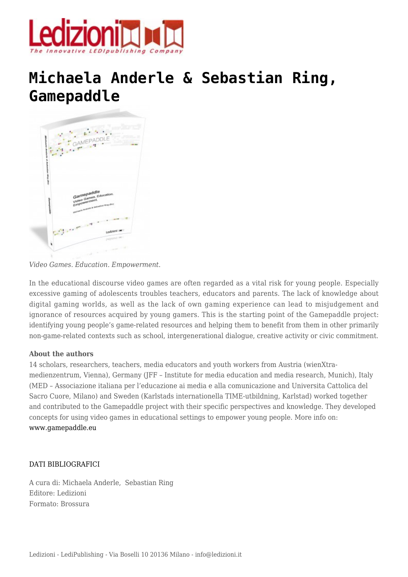

## **[Michaela Anderle & Sebastian Ring,](https://www.ledizioni.it/prodotto/michaela-anderle-sebastian-ring-gamepaddle/) [Gamepaddle](https://www.ledizioni.it/prodotto/michaela-anderle-sebastian-ring-gamepaddle/)**



*Video Games. Education. Empowerment.*

In the educational discourse video games are often regarded as a vital risk for young people. Especially excessive gaming of adolescents troubles teachers, educators and parents. The lack of knowledge about digital gaming worlds, as well as the lack of own gaming experience can lead to misjudgement and ignorance of resources acquired by young gamers. This is the starting point of the Gamepaddle project: identifying young people's game-related resources and helping them to benefit from them in other primarily non-game-related contexts such as school, intergenerational dialogue, creative activity or civic commitment.

## **About the authors**

14 scholars, researchers, teachers, media educators and youth workers from Austria (wienXtramedienzentrum, Vienna), Germany (JFF – Institute for media education and media research, Munich), Italy (MED – Associazione italiana per l'educazione ai media e alla comunicazione and Universita Cattolica del Sacro Cuore, Milano) and Sweden (Karlstads internationella TIME-utbildning, Karlstad) worked together and contributed to the Gamepaddle project with their specific perspectives and knowledge. They developed concepts for using video games in educational settings to empower young people. More info on: [www.gamepaddle.eu](http://www.jff.de/gamepaddle/wordpress/)

## DATI BIBLIOGRAFICI

A cura di: Michaela Anderle, Sebastian Ring Editore: Ledizioni Formato: Brossura